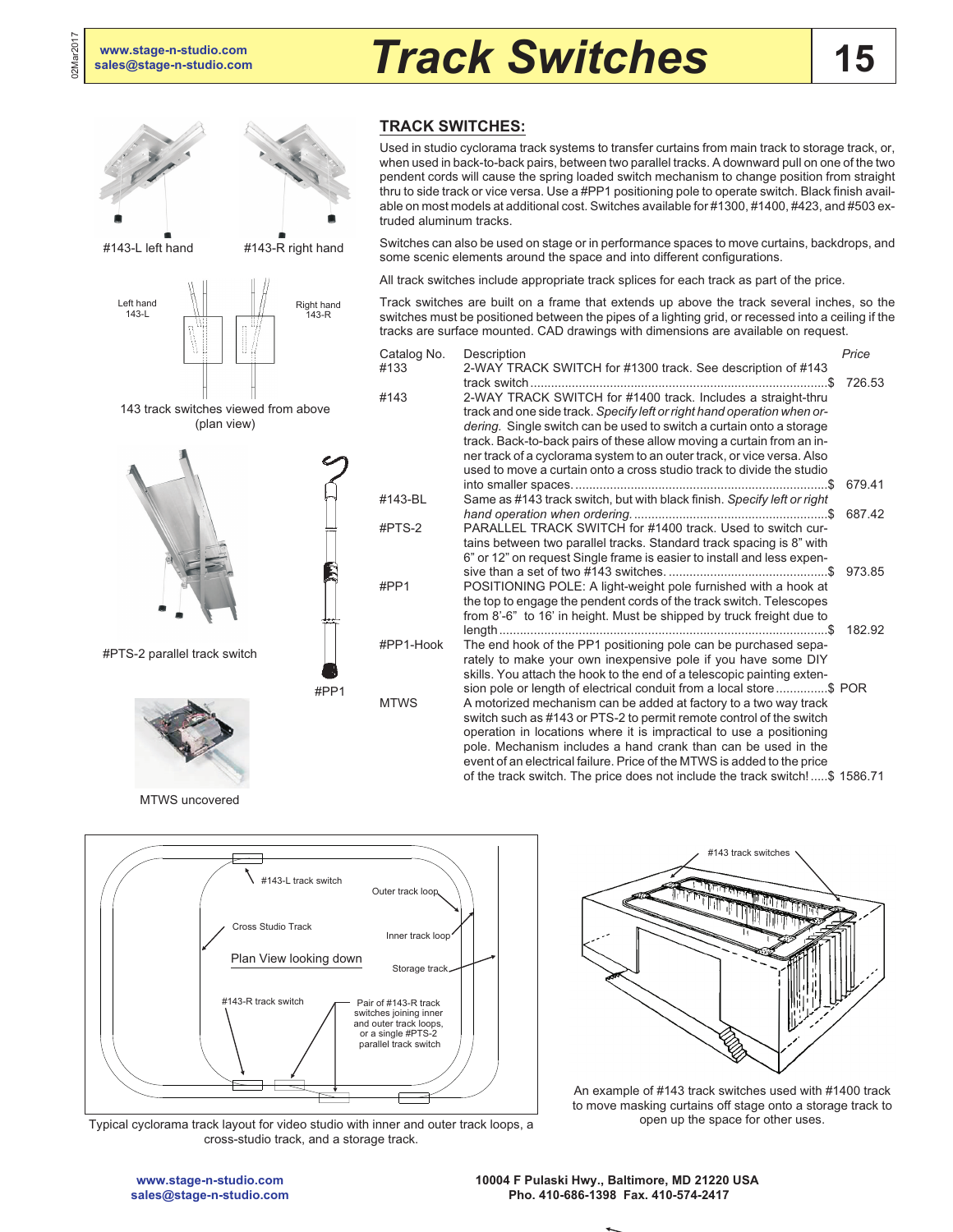

## **TRACK SWITCHES:**

Used in studio cyclorama track systems to transfer curtains from main track to storage track, or, when used in back-to-back pairs, between two parallel tracks. A downward pull on one of the two pendent cords will cause the spring loaded switch mechanism to change position from straight thru to side track or vice versa. Use a #PP1 positioning pole to operate switch. Black finish available on most models at additional cost. Switches available for #1300, #1400, #423, and #503 extruded aluminum tracks.

Switches can also be used on stage or in performance spaces to move curtains, backdrops, and some scenic elements around the space and into different configurations.

All track switches include appropriate track splices for each track as part of the price.

Track switches are built on a frame that extends up above the track several inches, so the switches must be positioned between the pipes of a lighting grid, or recessed into a ceiling if the tracks are surface mounted. CAD drawings with dimensions are available on request.

| Catalog No. | Description                                                                                                                                                                                                                                                                                                                                                                                                                                                                                                      | Price  |
|-------------|------------------------------------------------------------------------------------------------------------------------------------------------------------------------------------------------------------------------------------------------------------------------------------------------------------------------------------------------------------------------------------------------------------------------------------------------------------------------------------------------------------------|--------|
| #133        | 2-WAY TRACK SWITCH for #1300 track. See description of #143                                                                                                                                                                                                                                                                                                                                                                                                                                                      | 726.53 |
| #143        | 2-WAY TRACK SWITCH for #1400 track. Includes a straight-thru<br>track and one side track. Specify left or right hand operation when or-<br>dering. Single switch can be used to switch a curtain onto a storage<br>track. Back-to-back pairs of these allow moving a curtain from an in-<br>ner track of a cyclorama system to an outer track, or vice versa. Also<br>used to move a curtain onto a cross studio track to divide the studio                                                                      |        |
| #143-BL     | Same as #143 track switch, but with black finish. Specify left or right                                                                                                                                                                                                                                                                                                                                                                                                                                          | 679.41 |
| #PTS-2      | PARALLEL TRACK SWITCH for #1400 track. Used to switch cur-<br>tains between two parallel tracks. Standard track spacing is 8" with<br>6" or 12" on request Single frame is easier to install and less expen-                                                                                                                                                                                                                                                                                                     | 687.42 |
| #PP1        | POSITIONING POLE: A light-weight pole furnished with a hook at<br>the top to engage the pendent cords of the track switch. Telescopes<br>from 8'-6" to 16' in height. Must be shipped by truck freight due to                                                                                                                                                                                                                                                                                                    | 973.85 |
| #PP1-Hook   | The end hook of the PP1 positioning pole can be purchased sepa-<br>rately to make your own inexpensive pole if you have some DIY<br>skills. You attach the hook to the end of a telescopic painting exten-                                                                                                                                                                                                                                                                                                       | 182.92 |
| <b>MTWS</b> | sion pole or length of electrical conduit from a local store \$ POR<br>A motorized mechanism can be added at factory to a two way track<br>switch such as #143 or PTS-2 to permit remote control of the switch<br>operation in locations where it is impractical to use a positioning<br>pole. Mechanism includes a hand crank than can be used in the<br>event of an electrical failure. Price of the MTWS is added to the price<br>of the track switch. The price does not include the track switch!\$ 1586.71 |        |
|             |                                                                                                                                                                                                                                                                                                                                                                                                                                                                                                                  |        |

MTWS uncovered



Typical cyclorama track layout for video studio with inner and outer track loops, a cross-studio track, and a storage track.



An example of #143 track switches used with #1400 track to move masking curtains off stage onto a storage track to open up the space for other uses.

**[www.stage-n-studio.com](http://www.stage-n-studio.com) [sales@stage-n-studio.com](mailto:sales@stage-n-studio.com)** **10004 F Pulaski Hwy., Baltimore, MD 21220 USA Pho. 410-686-1398 Fax. 410-574-2417**